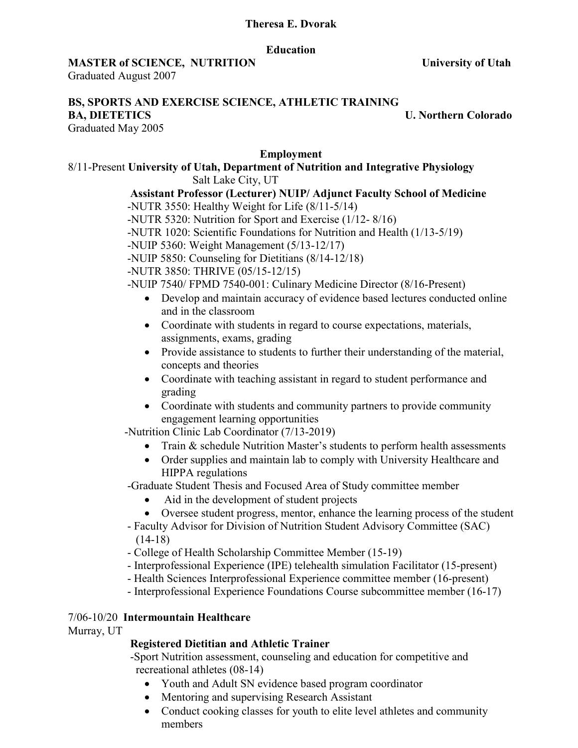### **Theresa E. Dvorak**

#### **Education**

### **MASTER of SCIENCE, NUTRITION University of Utah**

Graduated August 2007

#### **BS, SPORTS AND EXERCISE SCIENCE, ATHLETIC TRAINING BA, DIETETICS** U. Northern Colorado

Graduated May 2005

#### **Employment**

### 8/11-Present **University of Utah, Department of Nutrition and Integrative Physiology**

Salt Lake City, UT

### **Assistant Professor (Lecturer) NUIP/ Adjunct Faculty School of Medicine** -NUTR 3550: Healthy Weight for Life (8/11-5/14)

-NUTR 5320: Nutrition for Sport and Exercise (1/12- 8/16)

-NUTR 1020: Scientific Foundations for Nutrition and Health (1/13-5/19)

-NUIP 5360: Weight Management (5/13-12/17)

-NUIP 5850: Counseling for Dietitians (8/14-12/18)

-NUTR 3850: THRIVE (05/15-12/15)

-NUIP 7540/ FPMD 7540-001: Culinary Medicine Director (8/16-Present)

- Develop and maintain accuracy of evidence based lectures conducted online and in the classroom
- Coordinate with students in regard to course expectations, materials, assignments, exams, grading
- Provide assistance to students to further their understanding of the material, concepts and theories
- Coordinate with teaching assistant in regard to student performance and grading
- Coordinate with students and community partners to provide community engagement learning opportunities

-Nutrition Clinic Lab Coordinator (7/13-2019)

- Train & schedule Nutrition Master's students to perform health assessments
- Order supplies and maintain lab to comply with University Healthcare and HIPPA regulations

-Graduate Student Thesis and Focused Area of Study committee member

- Aid in the development of student projects
- Oversee student progress, mentor, enhance the learning process of the student
- Faculty Advisor for Division of Nutrition Student Advisory Committee (SAC)  $(14-18)$
- College of Health Scholarship Committee Member (15-19)
- Interprofessional Experience (IPE) telehealth simulation Facilitator (15-present)
- Health Sciences Interprofessional Experience committee member (16-present)

- Interprofessional Experience Foundations Course subcommittee member (16-17)

### 7/06-10/20 **Intermountain Healthcare**

Murray, UT

### **Registered Dietitian and Athletic Trainer**

 -Sport Nutrition assessment, counseling and education for competitive and recreational athletes (08-14)

- Youth and Adult SN evidence based program coordinator
- Mentoring and supervising Research Assistant
- Conduct cooking classes for youth to elite level athletes and community members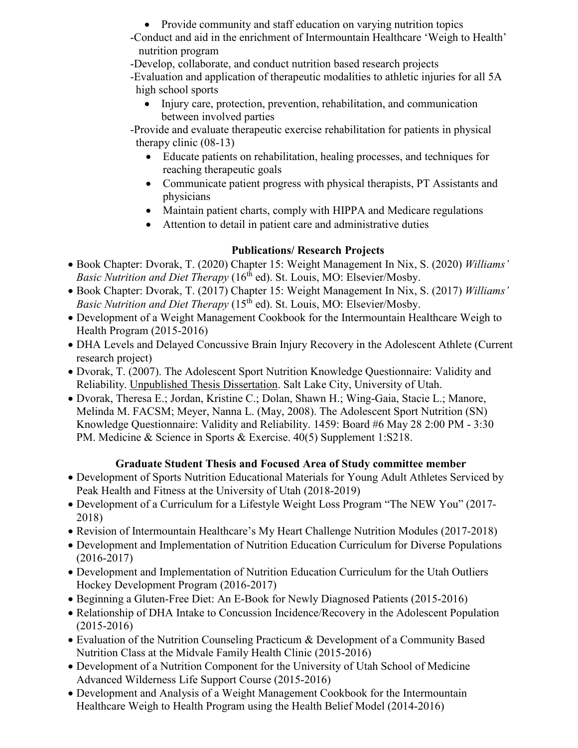• Provide community and staff education on varying nutrition topics

-Conduct and aid in the enrichment of Intermountain Healthcare 'Weigh to Health' nutrition program

-Develop, collaborate, and conduct nutrition based research projects

 -Evaluation and application of therapeutic modalities to athletic injuries for all 5A high school sports

• Injury care, protection, prevention, rehabilitation, and communication between involved parties

 -Provide and evaluate therapeutic exercise rehabilitation for patients in physical therapy clinic (08-13)

- Educate patients on rehabilitation, healing processes, and techniques for reaching therapeutic goals
- Communicate patient progress with physical therapists, PT Assistants and physicians
- Maintain patient charts, comply with HIPPA and Medicare regulations
- Attention to detail in patient care and administrative duties

# **Publications/ Research Projects**

- Book Chapter: Dvorak, T. (2020) Chapter 15: Weight Management In Nix, S. (2020) *Williams' Basic Nutrition and Diet Therapy* (16<sup>th</sup> ed). St. Louis, MO: Elsevier/Mosby.
- Book Chapter: Dvorak, T. (2017) Chapter 15: Weight Management In Nix, S. (2017) *Williams' Basic Nutrition and Diet Therapy* (15<sup>th</sup> ed). St. Louis, MO: Elsevier/Mosby.
- Development of a Weight Management Cookbook for the Intermountain Healthcare Weigh to Health Program (2015-2016)
- DHA Levels and Delayed Concussive Brain Injury Recovery in the Adolescent Athlete (Current research project)
- Dvorak, T. (2007). The Adolescent Sport Nutrition Knowledge Questionnaire: Validity and Reliability. Unpublished Thesis Dissertation. Salt Lake City, University of Utah.
- Dvorak, Theresa E.; Jordan, Kristine C.; Dolan, Shawn H.; Wing-Gaia, Stacie L.; Manore, Melinda M. FACSM; Meyer, Nanna L. (May, 2008). The Adolescent Sport Nutrition (SN) Knowledge Questionnaire: Validity and Reliability. 1459: Board #6 May 28 2:00 PM - 3:30 PM. Medicine & Science in Sports & Exercise. 40(5) Supplement 1:S218.

# **Graduate Student Thesis and Focused Area of Study committee member**

- Development of Sports Nutrition Educational Materials for Young Adult Athletes Serviced by Peak Health and Fitness at the University of Utah (2018-2019)
- Development of a Curriculum for a Lifestyle Weight Loss Program "The NEW You" (2017- 2018)
- Revision of Intermountain Healthcare's My Heart Challenge Nutrition Modules (2017-2018)
- Development and Implementation of Nutrition Education Curriculum for Diverse Populations (2016-2017)
- Development and Implementation of Nutrition Education Curriculum for the Utah Outliers Hockey Development Program (2016-2017)
- Beginning a Gluten-Free Diet: An E-Book for Newly Diagnosed Patients (2015-2016)
- Relationship of DHA Intake to Concussion Incidence/Recovery in the Adolescent Population (2015-2016)
- Evaluation of the Nutrition Counseling Practicum & Development of a Community Based Nutrition Class at the Midvale Family Health Clinic (2015-2016)
- Development of a Nutrition Component for the University of Utah School of Medicine Advanced Wilderness Life Support Course (2015-2016)
- Development and Analysis of a Weight Management Cookbook for the Intermountain Healthcare Weigh to Health Program using the Health Belief Model (2014-2016)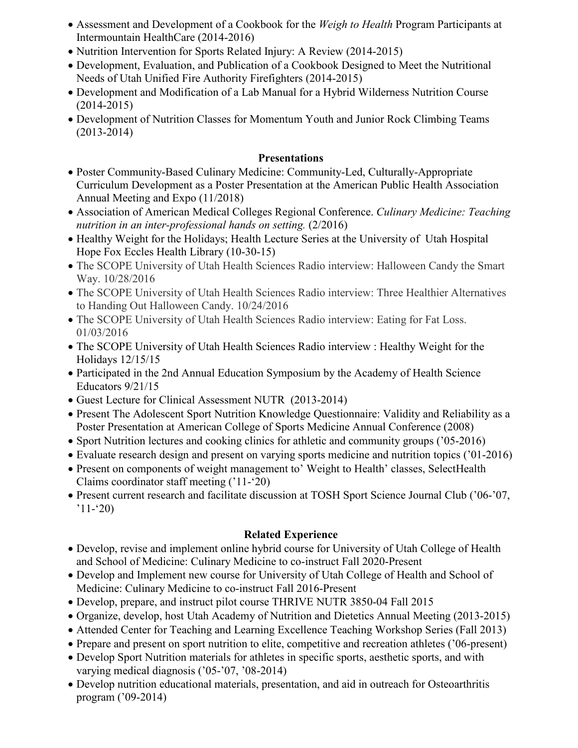- Assessment and Development of a Cookbook for the *Weigh to Health* Program Participants at Intermountain HealthCare (2014-2016)
- Nutrition Intervention for Sports Related Injury: A Review (2014-2015)
- Development, Evaluation, and Publication of a Cookbook Designed to Meet the Nutritional Needs of Utah Unified Fire Authority Firefighters (2014-2015)
- Development and Modification of a Lab Manual for a Hybrid Wilderness Nutrition Course (2014-2015)
- Development of Nutrition Classes for Momentum Youth and Junior Rock Climbing Teams (2013-2014)

## **Presentations**

- Poster Community-Based Culinary Medicine: Community-Led, Culturally-Appropriate Curriculum Development as a Poster Presentation at the American Public Health Association Annual Meeting and Expo (11/2018)
- Association of American Medical Colleges Regional Conference. *Culinary Medicine: Teaching nutrition in an inter-professional hands on setting.* (2/2016)
- Healthy Weight for the Holidays; Health Lecture Series at the University of Utah Hospital Hope Fox Eccles Health Library (10-30-15)
- The SCOPE University of Utah Health Sciences Radio interview: Halloween Candy the Smart Way. 10/28/2016
- The SCOPE University of Utah Health Sciences Radio interview: Three Healthier Alternatives to Handing Out Halloween Candy. 10/24/2016
- The SCOPE University of Utah Health Sciences Radio interview: Eating for Fat Loss. 01/03/2016
- The SCOPE University of Utah Health Sciences Radio interview : Healthy Weight for the Holidays 12/15/15
- Participated in the 2nd Annual Education Symposium by the Academy of Health Science Educators 9/21/15
- Guest Lecture for Clinical Assessment NUTR (2013-2014)
- Present The Adolescent Sport Nutrition Knowledge Questionnaire: Validity and Reliability as a Poster Presentation at American College of Sports Medicine Annual Conference (2008)
- Sport Nutrition lectures and cooking clinics for athletic and community groups ( $05{\text -}2016$ )
- Evaluate research design and present on varying sports medicine and nutrition topics ('01-2016)
- Present on components of weight management to' Weight to Health' classes, SelectHealth Claims coordinator staff meeting ('11-'20)
- Present current research and facilitate discussion at TOSH Sport Science Journal Club ('06-'07,  $'11-(20)$

# **Related Experience**

- Develop, revise and implement online hybrid course for University of Utah College of Health and School of Medicine: Culinary Medicine to co-instruct Fall 2020-Present
- Develop and Implement new course for University of Utah College of Health and School of Medicine: Culinary Medicine to co-instruct Fall 2016-Present
- Develop, prepare, and instruct pilot course THRIVE NUTR 3850-04 Fall 2015
- Organize, develop, host Utah Academy of Nutrition and Dietetics Annual Meeting (2013-2015)
- Attended Center for Teaching and Learning Excellence Teaching Workshop Series (Fall 2013)
- Prepare and present on sport nutrition to elite, competitive and recreation athletes ('06-present)
- Develop Sport Nutrition materials for athletes in specific sports, aesthetic sports, and with varying medical diagnosis ('05-'07, '08-2014)
- Develop nutrition educational materials, presentation, and aid in outreach for Osteoarthritis program ('09-2014)